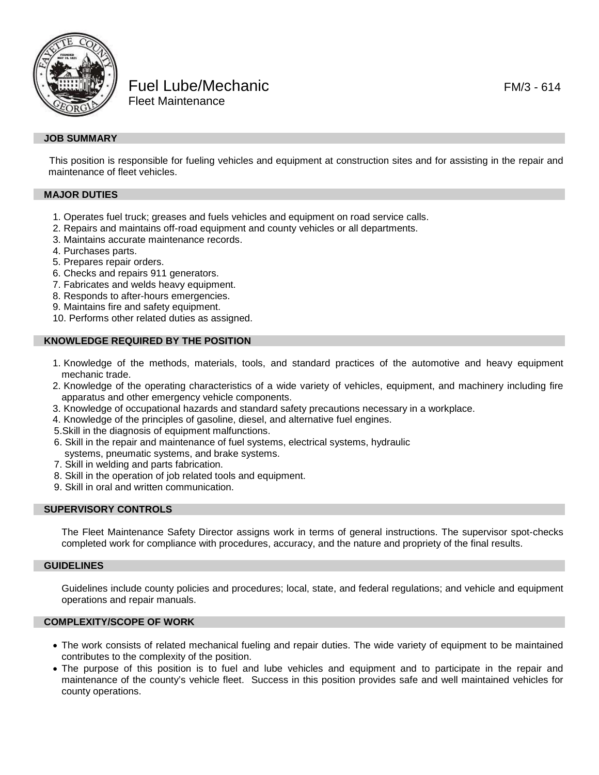

Fuel Lube/Mechanic **FUEL 2006** FM/3 - 614 Fleet Maintenance

This position is responsible for fueling vehicles and equipment at construction sites and for assisting in the repair and maintenance of fleet vehicles.

# **MAJOR DUTIES**

- 1. Operates fuel truck; greases and fuels vehicles and equipment on road service calls.
- 2. Repairs and maintains off-road equipment and county vehicles or all departments.
- 3. Maintains accurate maintenance records.
- 4. Purchases parts.
- 5. Prepares repair orders.
- 6. Checks and repairs 911 generators.
- 7. Fabricates and welds heavy equipment.
- 8. Responds to after-hours emergencies.
- 9. Maintains fire and safety equipment.
- 10. Performs other related duties as assigned.

#### **KNOWLEDGE REQUIRED BY THE POSITION**

- 1. Knowledge of the methods, materials, tools, and standard practices of the automotive and heavy equipment mechanic trade.
- 2. Knowledge of the operating characteristics of a wide variety of vehicles, equipment, and machinery including fire apparatus and other emergency vehicle components.
- 3. Knowledge of occupational hazards and standard safety precautions necessary in a workplace.
- 4. Knowledge of the principles of gasoline, diesel, and alternative fuel engines.
- 5.Skill in the diagnosis of equipment malfunctions.
- 6. Skill in the repair and maintenance of fuel systems, electrical systems, hydraulic systems, pneumatic systems, and brake systems.
- 7. Skill in welding and parts fabrication.
- 8. Skill in the operation of job related tools and equipment.
- 9. Skill in oral and written communication.

#### **SUPERVISORY CONTROLS**

The Fleet Maintenance Safety Director assigns work in terms of general instructions. The supervisor spot-checks completed work for compliance with procedures, accuracy, and the nature and propriety of the final results.

### **GUIDELINES**

Guidelines include county policies and procedures; local, state, and federal regulations; and vehicle and equipment operations and repair manuals.

# **COMPLEXITY/SCOPE OF WORK**

- The work consists of related mechanical fueling and repair duties. The wide variety of equipment to be maintained contributes to the complexity of the position.
- The purpose of this position is to fuel and lube vehicles and equipment and to participate in the repair and maintenance of the county's vehicle fleet. Success in this position provides safe and well maintained vehicles for county operations.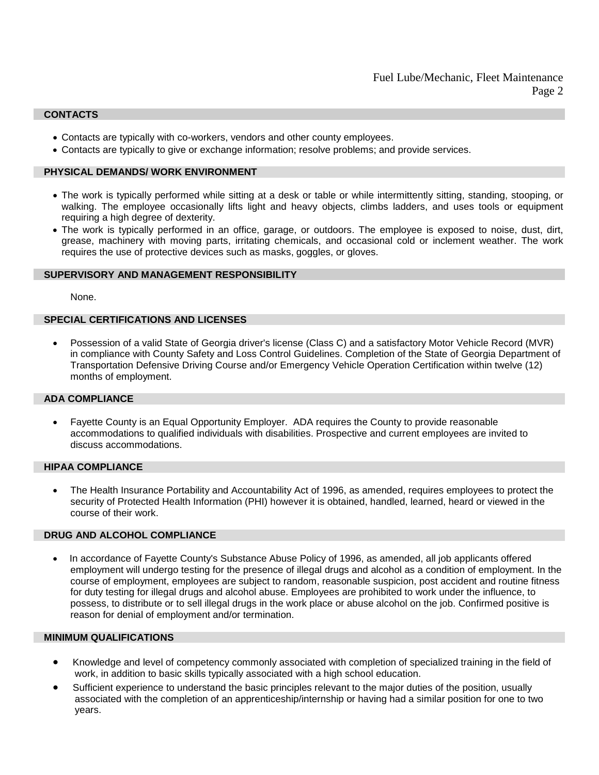### **CONTACTS**

- Contacts are typically with co-workers, vendors and other county employees.
- Contacts are typically to give or exchange information; resolve problems; and provide services.

### **PHYSICAL DEMANDS/ WORK ENVIRONMENT**

- The work is typically performed while sitting at a desk or table or while intermittently sitting, standing, stooping, or walking. The employee occasionally lifts light and heavy objects, climbs ladders, and uses tools or equipment requiring a high degree of dexterity.
- The work is typically performed in an office, garage, or outdoors. The employee is exposed to noise, dust, dirt, grease, machinery with moving parts, irritating chemicals, and occasional cold or inclement weather. The work requires the use of protective devices such as masks, goggles, or gloves.

### **SUPERVISORY AND MANAGEMENT RESPONSIBILITY**

None.

# **SPECIAL CERTIFICATIONS AND LICENSES**

• Possession of a valid State of Georgia driver's license (Class C) and a satisfactory Motor Vehicle Record (MVR) in compliance with County Safety and Loss Control Guidelines. Completion of the State of Georgia Department of Transportation Defensive Driving Course and/or Emergency Vehicle Operation Certification within twelve (12) months of employment.

#### **ADA COMPLIANCE**

• Fayette County is an Equal Opportunity Employer. ADA requires the County to provide reasonable accommodations to qualified individuals with disabilities. Prospective and current employees are invited to discuss accommodations.

### **HIPAA COMPLIANCE**

• The Health Insurance Portability and Accountability Act of 1996, as amended, requires employees to protect the security of Protected Health Information (PHI) however it is obtained, handled, learned, heard or viewed in the course of their work.

#### **DRUG AND ALCOHOL COMPLIANCE**

• In accordance of Fayette County's Substance Abuse Policy of 1996, as amended, all job applicants offered employment will undergo testing for the presence of illegal drugs and alcohol as a condition of employment. In the course of employment, employees are subject to random, reasonable suspicion, post accident and routine fitness for duty testing for illegal drugs and alcohol abuse. Employees are prohibited to work under the influence, to possess, to distribute or to sell illegal drugs in the work place or abuse alcohol on the job. Confirmed positive is reason for denial of employment and/or termination.

#### **MINIMUM QUALIFICATIONS**

- Knowledge and level of competency commonly associated with completion of specialized training in the field of work, in addition to basic skills typically associated with a high school education.
- Sufficient experience to understand the basic principles relevant to the major duties of the position, usually associated with the completion of an apprenticeship/internship or having had a similar position for one to two years.